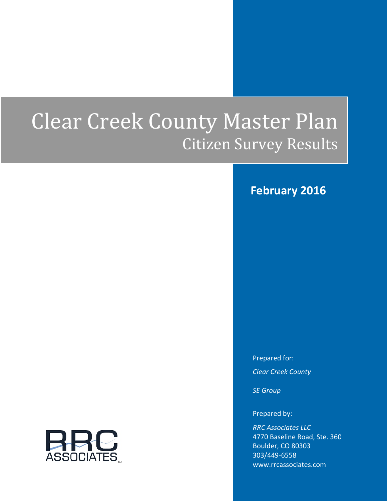# Clear Creek County Master Plan Citizen Survey Results

## **February 2016**

Prepared for: *Clear Creek County*

*SE Group*

Prepared by:

*RRC Associates LLC* 4770 Baseline Road, Ste. 360 Boulder, CO 80303 303/449-6558 www.rrcassociates.com

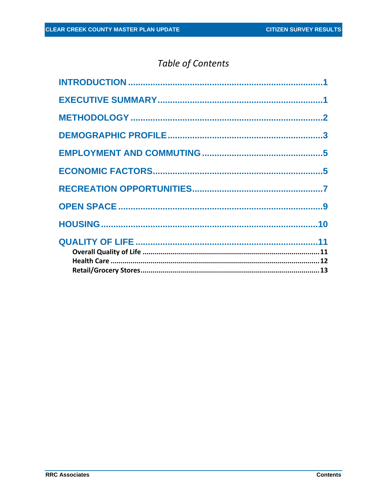# Table of Contents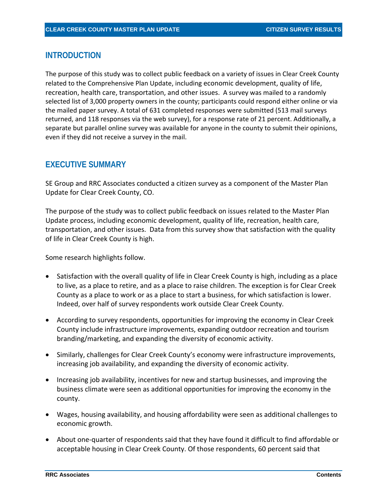#### <span id="page-2-0"></span>**INTRODUCTION**

The purpose of this study was to collect public feedback on a variety of issues in Clear Creek County related to the Comprehensive Plan Update, including economic development, quality of life, recreation, health care, transportation, and other issues. A survey was mailed to a randomly selected list of 3,000 property owners in the county; participants could respond either online or via the mailed paper survey. A total of 631 completed responses were submitted (513 mail surveys returned, and 118 responses via the web survey), for a response rate of 21 percent. Additionally, a separate but parallel online survey was available for anyone in the county to submit their opinions, even if they did not receive a survey in the mail.

## <span id="page-2-1"></span>**EXECUTIVE SUMMARY**

SE Group and RRC Associates conducted a citizen survey as a component of the Master Plan Update for Clear Creek County, CO.

The purpose of the study was to collect public feedback on issues related to the Master Plan Update process, including economic development, quality of life, recreation, health care, transportation, and other issues. Data from this survey show that satisfaction with the quality of life in Clear Creek County is high.

Some research highlights follow.

- Satisfaction with the overall quality of life in Clear Creek County is high, including as a place to live, as a place to retire, and as a place to raise children. The exception is for Clear Creek County as a place to work or as a place to start a business, for which satisfaction is lower. Indeed, over half of survey respondents work outside Clear Creek County.
- According to survey respondents, opportunities for improving the economy in Clear Creek County include infrastructure improvements, expanding outdoor recreation and tourism branding/marketing, and expanding the diversity of economic activity.
- Similarly, challenges for Clear Creek County's economy were infrastructure improvements, increasing job availability, and expanding the diversity of economic activity.
- Increasing job availability, incentives for new and startup businesses, and improving the business climate were seen as additional opportunities for improving the economy in the county.
- Wages, housing availability, and housing affordability were seen as additional challenges to economic growth.
- About one-quarter of respondents said that they have found it difficult to find affordable or acceptable housing in Clear Creek County. Of those respondents, 60 percent said that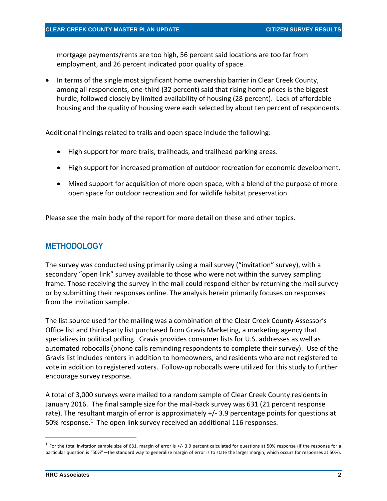mortgage payments/rents are too high, 56 percent said locations are too far from employment, and 26 percent indicated poor quality of space.

• In terms of the single most significant home ownership barrier in Clear Creek County, among all respondents, one-third (32 percent) said that rising home prices is the biggest hurdle, followed closely by limited availability of housing (28 percent). Lack of affordable housing and the quality of housing were each selected by about ten percent of respondents.

Additional findings related to trails and open space include the following:

- High support for more trails, trailheads, and trailhead parking areas.
- High support for increased promotion of outdoor recreation for economic development.
- Mixed support for acquisition of more open space, with a blend of the purpose of more open space for outdoor recreation and for wildlife habitat preservation.

Please see the main body of the report for more detail on these and other topics.

## <span id="page-3-0"></span>**METHODOLOGY**

The survey was conducted using primarily using a mail survey ("invitation" survey), with a secondary "open link" survey available to those who were not within the survey sampling frame. Those receiving the survey in the mail could respond either by returning the mail survey or by submitting their responses online. The analysis herein primarily focuses on responses from the invitation sample.

The list source used for the mailing was a combination of the Clear Creek County Assessor's Office list and third-party list purchased from Gravis Marketing, a marketing agency that specializes in political polling. Gravis provides consumer lists for U.S. addresses as well as automated robocalls (phone calls reminding respondents to complete their survey). Use of the Gravis list includes renters in addition to homeowners, and residents who are not registered to vote in addition to registered voters. Follow-up robocalls were utilized for this study to further encourage survey response.

A total of 3,000 surveys were mailed to a random sample of Clear Creek County residents in January 2016. The final sample size for the mail-back survey was 631 (21 percent response rate). The resultant margin of error is approximately +/- 3.9 percentage points for questions at 50% response.<sup>[1](#page-3-1)</sup> The open link survey received an additional 116 responses.

<span id="page-3-1"></span> $1$  For the total invitation sample size of 631, margin of error is +/- 3.9 percent calculated for questions at 50% response (if the response for a particular question is "50%"—the standard way to generalize margin of error is to state the larger margin, which occurs for responses at 50%).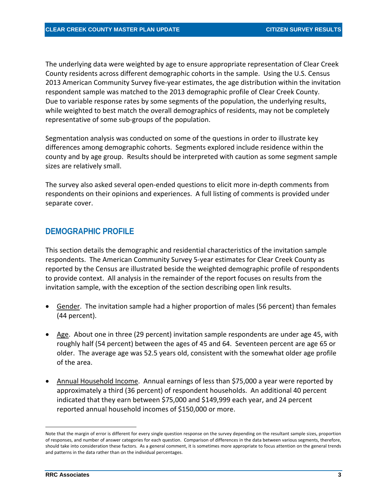The underlying data were weighted by age to ensure appropriate representation of Clear Creek County residents across different demographic cohorts in the sample. Using the U.S. Census 2013 American Community Survey five-year estimates, the age distribution within the invitation respondent sample was matched to the 2013 demographic profile of Clear Creek County. Due to variable response rates by some segments of the population, the underlying results, while weighted to best match the overall demographics of residents, may not be completely representative of some sub-groups of the population.

Segmentation analysis was conducted on some of the questions in order to illustrate key differences among demographic cohorts. Segments explored include residence within the county and by age group. Results should be interpreted with caution as some segment sample sizes are relatively small.

The survey also asked several open-ended questions to elicit more in-depth comments from respondents on their opinions and experiences. A full listing of comments is provided under separate cover.

#### <span id="page-4-0"></span>**DEMOGRAPHIC PROFILE**

This section details the demographic and residential characteristics of the invitation sample respondents. The American Community Survey 5-year estimates for Clear Creek County as reported by the Census are illustrated beside the weighted demographic profile of respondents to provide context. All analysis in the remainder of the report focuses on results from the invitation sample, with the exception of the section describing open link results.

- Gender. The invitation sample had a higher proportion of males (56 percent) than females (44 percent).
- Age. About one in three (29 percent) invitation sample respondents are under age 45, with roughly half (54 percent) between the ages of 45 and 64. Seventeen percent are age 65 or older. The average age was 52.5 years old, consistent with the somewhat older age profile of the area.
- Annual Household Income. Annual earnings of less than \$75,000 a year were reported by approximately a third (36 percent) of respondent households. An additional 40 percent indicated that they earn between \$75,000 and \$149,999 each year, and 24 percent reported annual household incomes of \$150,000 or more.

Note that the margin of error is different for every single question response on the survey depending on the resultant sample sizes, proportion of responses, and number of answer categories for each question. Comparison of differences in the data between various segments, therefore, should take into consideration these factors. As a general comment, it is sometimes more appropriate to focus attention on the general trends and patterns in the data rather than on the individual percentages.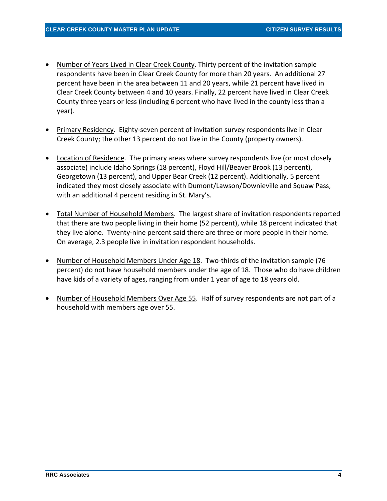- Number of Years Lived in Clear Creek County. Thirty percent of the invitation sample respondents have been in Clear Creek County for more than 20 years. An additional 27 percent have been in the area between 11 and 20 years, while 21 percent have lived in Clear Creek County between 4 and 10 years. Finally, 22 percent have lived in Clear Creek County three years or less (including 6 percent who have lived in the county less than a year).
- Primary Residency. Eighty-seven percent of invitation survey respondents live in Clear Creek County; the other 13 percent do not live in the County (property owners).
- Location of Residence. The primary areas where survey respondents live (or most closely associate) include Idaho Springs (18 percent), Floyd Hill/Beaver Brook (13 percent), Georgetown (13 percent), and Upper Bear Creek (12 percent). Additionally, 5 percent indicated they most closely associate with Dumont/Lawson/Downieville and Squaw Pass, with an additional 4 percent residing in St. Mary's.
- Total Number of Household Members. The largest share of invitation respondents reported that there are two people living in their home (52 percent), while 18 percent indicated that they live alone. Twenty-nine percent said there are three or more people in their home. On average, 2.3 people live in invitation respondent households.
- Number of Household Members Under Age 18. Two-thirds of the invitation sample (76 percent) do not have household members under the age of 18. Those who do have children have kids of a variety of ages, ranging from under 1 year of age to 18 years old.
- Number of Household Members Over Age 55. Half of survey respondents are not part of a household with members age over 55.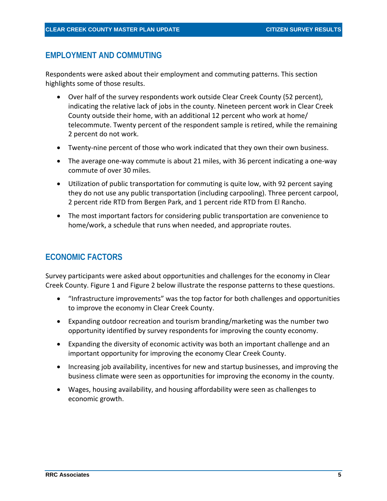#### <span id="page-6-0"></span>**EMPLOYMENT AND COMMUTING**

Respondents were asked about their employment and commuting patterns. This section highlights some of those results.

- Over half of the survey respondents work outside Clear Creek County (52 percent), indicating the relative lack of jobs in the county. Nineteen percent work in Clear Creek County outside their home, with an additional 12 percent who work at home/ telecommute. Twenty percent of the respondent sample is retired, while the remaining 2 percent do not work.
- Twenty-nine percent of those who work indicated that they own their own business.
- The average one-way commute is about 21 miles, with 36 percent indicating a one-way commute of over 30 miles.
- Utilization of public transportation for commuting is quite low, with 92 percent saying they do not use any public transportation (including carpooling). Three percent carpool, 2 percent ride RTD from Bergen Park, and 1 percent ride RTD from El Rancho.
- The most important factors for considering public transportation are convenience to home/work, a schedule that runs when needed, and appropriate routes.

## <span id="page-6-1"></span>**ECONOMIC FACTORS**

Survey participants were asked about opportunities and challenges for the economy in Clear Creek County. [Figure 1](#page-7-0) and [Figure 2](#page-8-1) below illustrate the response patterns to these questions.

- "Infrastructure improvements" was the top factor for both challenges and opportunities to improve the economy in Clear Creek County.
- Expanding outdoor recreation and tourism branding/marketing was the number two opportunity identified by survey respondents for improving the county economy.
- Expanding the diversity of economic activity was both an important challenge and an important opportunity for improving the economy Clear Creek County.
- Increasing job availability, incentives for new and startup businesses, and improving the business climate were seen as opportunities for improving the economy in the county.
- Wages, housing availability, and housing affordability were seen as challenges to economic growth.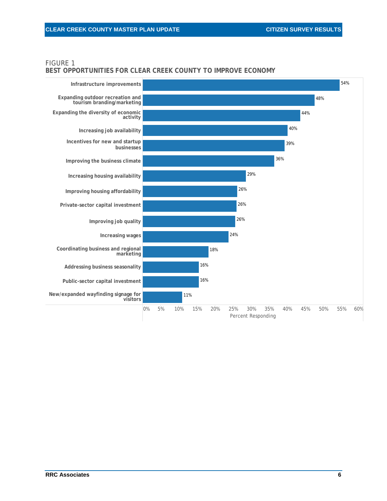#### <span id="page-7-0"></span>FIGURE 1

#### **BEST OPPORTUNITIES FOR CLEAR CREEK COUNTY TO IMPROVE ECONOMY**

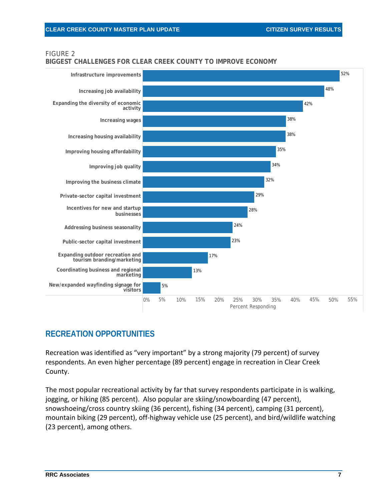## <span id="page-8-1"></span>FIGURE 2

**BIGGEST CHALLENGES FOR CLEAR CREEK COUNTY TO IMPROVE ECONOMY**



## <span id="page-8-0"></span>**RECREATION OPPORTUNITIES**

Recreation was identified as "very important" by a strong majority (79 percent) of survey respondents. An even higher percentage (89 percent) engage in recreation in Clear Creek County.

The most popular recreational activity by far that survey respondents participate in is walking, jogging, or hiking (85 percent). Also popular are skiing/snowboarding (47 percent), snowshoeing/cross country skiing (36 percent), fishing (34 percent), camping (31 percent), mountain biking (29 percent), off-highway vehicle use (25 percent), and bird/wildlife watching (23 percent), among others.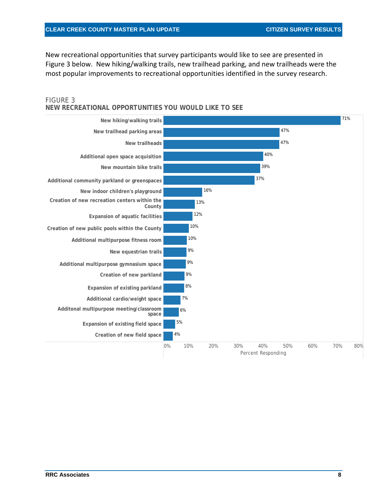New recreational opportunities that survey participants would like to see are presented in [Figure 3](#page-9-0) below. New hiking/walking trails, new trailhead parking, and new trailheads were the most popular improvements to recreational opportunities identified in the survey research.

<span id="page-9-0"></span>

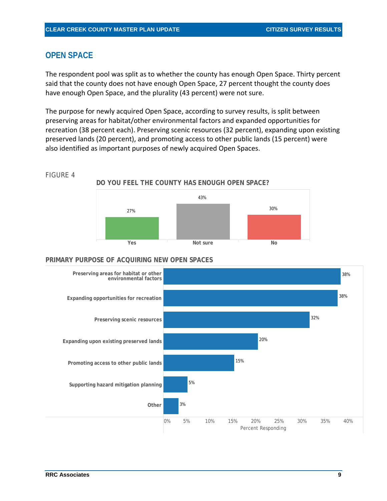## <span id="page-10-0"></span>**OPEN SPACE**

The respondent pool was split as to whether the county has enough Open Space. Thirty percent said that the county does not have enough Open Space, 27 percent thought the county does have enough Open Space, and the plurality (43 percent) were not sure.

The purpose for newly acquired Open Space, according to survey results, is split between preserving areas for habitat/other environmental factors and expanded opportunities for recreation (38 percent each). Preserving scenic resources (32 percent), expanding upon existing preserved lands (20 percent), and promoting access to other public lands (15 percent) were also identified as important purposes of newly acquired Open Spaces.

#### FIGURE 4

**DO YOU FEEL THE COUNTY HAS ENOUGH OPEN SPACE?**



#### **PRIMARY PURPOSE OF ACQUIRING NEW OPEN SPACES**

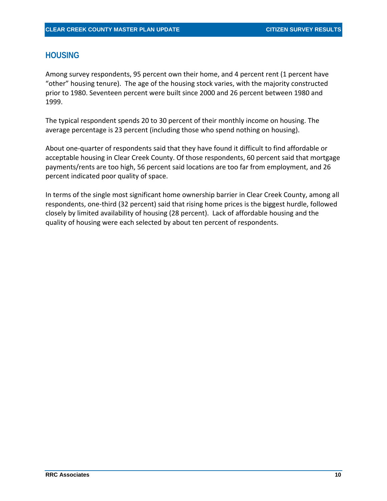### <span id="page-11-0"></span>**HOUSING**

Among survey respondents, 95 percent own their home, and 4 percent rent (1 percent have "other" housing tenure). The age of the housing stock varies, with the majority constructed prior to 1980. Seventeen percent were built since 2000 and 26 percent between 1980 and 1999.

The typical respondent spends 20 to 30 percent of their monthly income on housing. The average percentage is 23 percent (including those who spend nothing on housing).

About one-quarter of respondents said that they have found it difficult to find affordable or acceptable housing in Clear Creek County. Of those respondents, 60 percent said that mortgage payments/rents are too high, 56 percent said locations are too far from employment, and 26 percent indicated poor quality of space.

In terms of the single most significant home ownership barrier in Clear Creek County, among all respondents, one-third (32 percent) said that rising home prices is the biggest hurdle, followed closely by limited availability of housing (28 percent). Lack of affordable housing and the quality of housing were each selected by about ten percent of respondents.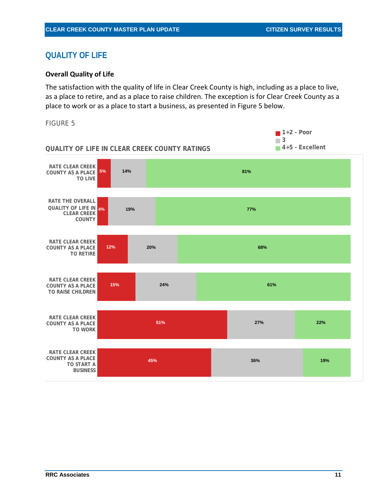## <span id="page-12-0"></span>**QUALITY OF LIFE**

#### <span id="page-12-1"></span>**Overall Quality of Life**

The satisfaction with the quality of life in Clear Creek County is high, including as a place to live, as a place to retire, and as a place to raise children. The exception is for Clear Creek County as a place to work or as a place to start a business, as presented in [Figure 5](#page-12-2) below.

<span id="page-12-2"></span>FIGURE 5

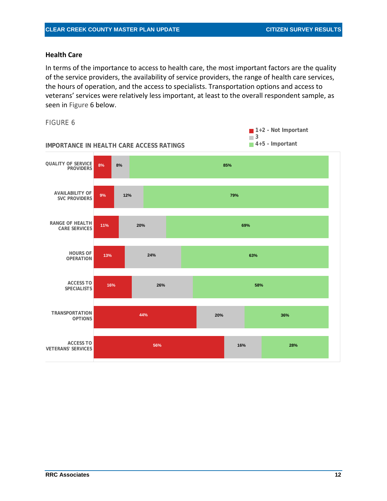#### <span id="page-13-0"></span>**Health Care**

In terms of the importance to access to health care, the most important factors are the quality of the service providers, the availability of service providers, the range of health care services, the hours of operation, and the access to specialists. Transportation options and access to veterans' services were relatively less important, at least to the overall respondent sample, as seen in [Figure 6](#page-13-1) below.

#### <span id="page-13-1"></span>FIGURE 6